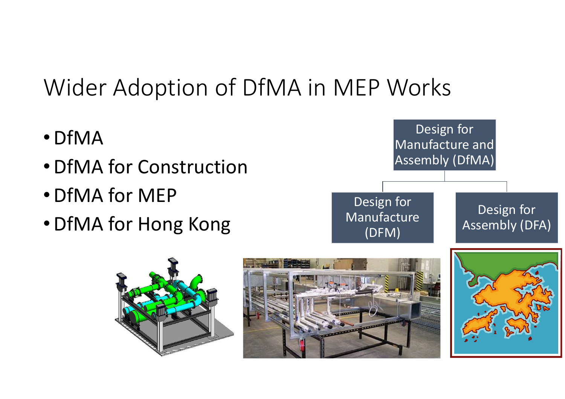# Wider Adoption of DfMA in MEP Works

- •DfMA
- •DfMA for Construction
- •DfMA for MEP
- •DfMA for Hong Kong



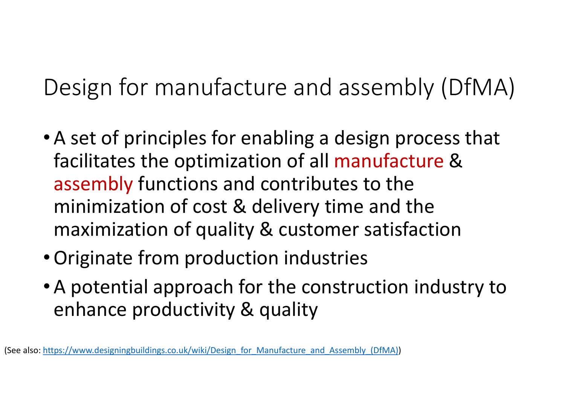Design for manufacture and assembly (DfMA)

- A set of principles for enabling a design process that facilitates the optimization of all manufacture & assembly functions and contributes to the minimization of cost & delivery time and the maximization of quality & customer satisfaction
- •Originate from production industries
- A potential approach for the construction industry to enhance productivity & quality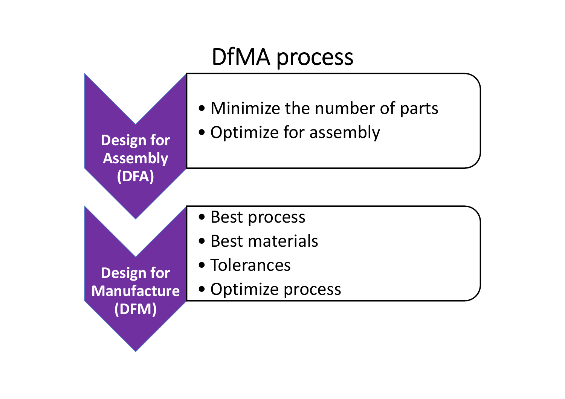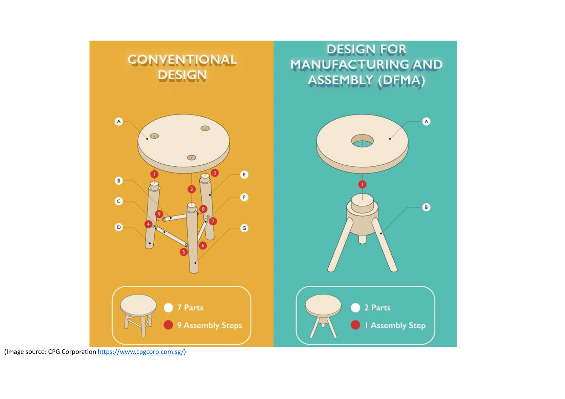

(Image source: CPG Corporation https://www.cpgcorp.com.sg/)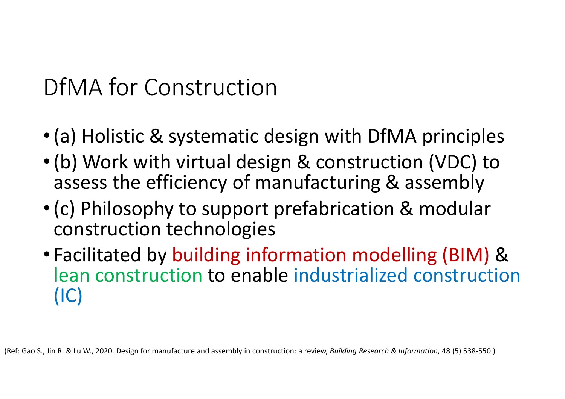DfMA for Construction

- •(a) Holistic & systematic design with DfMA principles
- •(b) Work with virtual design & construction (VDC) to assess the efficiency of manufacturing & assembly
- •(c) Philosophy to support prefabrication & modular construction technologies
- Facilitated by building information modelling (BIM) & lean construction to enable industrialized construction (IC)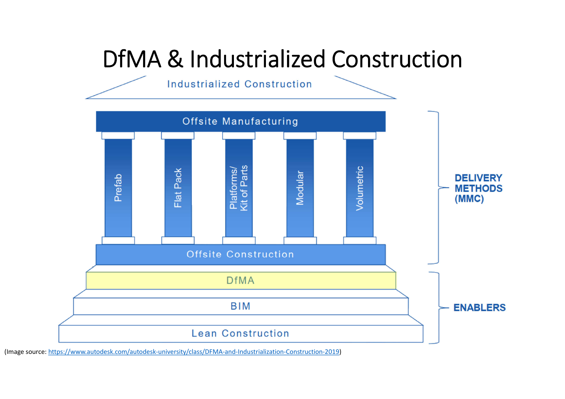# DfMA & Industrialized Construction

Industrialized Construction



(Image source: https://www.autodesk.com/autodesk-university/class/DFMA-and-Industrialization-Construction-2019)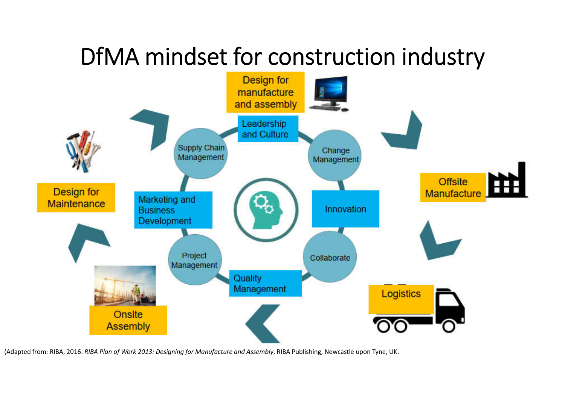## DfMA mindset for construction industry



(Adapted from: RIBA, 2016. *RIBA Plan of Work 2013: Designing for Manufacture and Assembly*, RIBA Publishing, Newcastle upon Tyne, UK.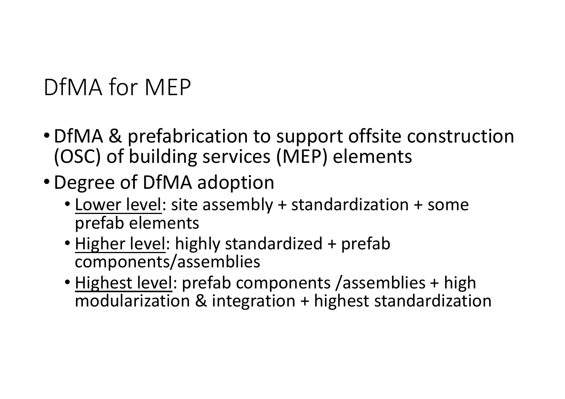# DfMA for MEP

- •DfMA & prefabrication to support offsite construction (OSC) of building services (MEP) elements
- •Degree of DfMA adoption
	- Lower level: site assembly + standardization + some prefab elements
	- Higher level: highly standardized + prefab components/assemblies
	- Highest level: prefab components /assemblies + high modularization & integration + highest standardization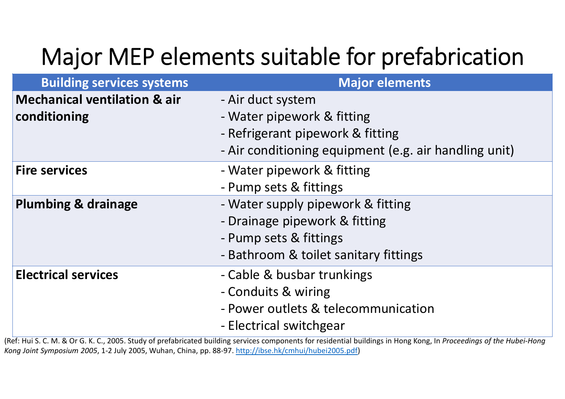# Major MEP elements suitable for prefabrication

| <b>Building services systems</b>                        | <b>Major elements</b>                                                                                                                                                                                                                                                                      |
|---------------------------------------------------------|--------------------------------------------------------------------------------------------------------------------------------------------------------------------------------------------------------------------------------------------------------------------------------------------|
| <b>Mechanical ventilation &amp; air</b><br>conditioning | - Air duct system<br>- Water pipework & fitting<br>- Refrigerant pipework & fitting<br>- Air conditioning equipment (e.g. air handling unit)                                                                                                                                               |
| <b>Fire services</b>                                    | - Water pipework & fitting<br>- Pump sets & fittings                                                                                                                                                                                                                                       |
| <b>Plumbing &amp; drainage</b>                          | - Water supply pipework & fitting<br>- Drainage pipework & fitting<br>- Pump sets & fittings<br>- Bathroom & toilet sanitary fittings                                                                                                                                                      |
| <b>Electrical services</b>                              | - Cable & busbar trunkings<br>- Conduits & wiring<br>- Power outlets & telecommunication<br>- Electrical switchgear<br>afelled C. C. N. O. Ou C. V. C. 2005. Chede a fourth designated building against concernance for used and in the language and the concernance of the United Used U. |

(Ref: Hui S. C. M. & Or G. K. C., 2005. Study of prefabricated building services components for residential buildings in Hong Kong, In *Proceedings of the Hubei-Hong Kong Joint Symposium 2005*, 1-2 July 2005, Wuhan, China, pp. 88-97. http://ibse.hk/cmhui/hubei2005.pdf)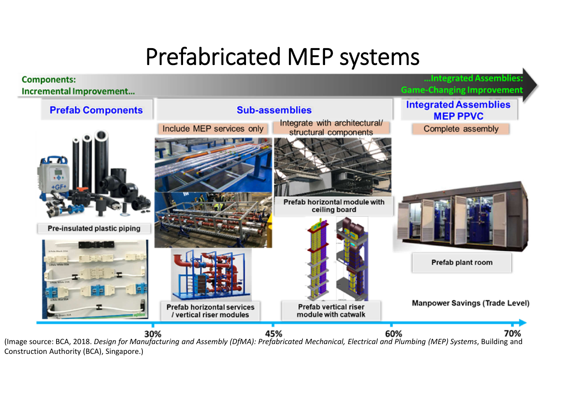## Prefabricated MEP systems



Construction Authority (BCA), Singapore.)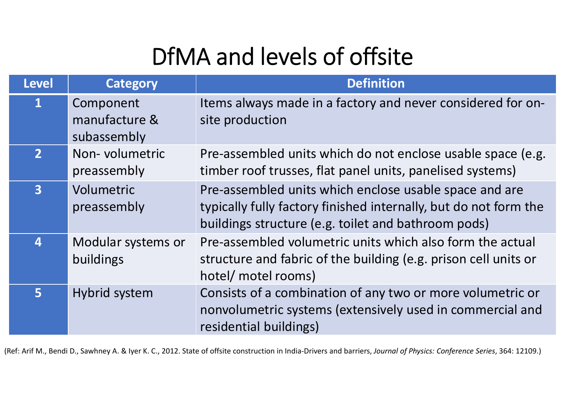# DfMA and levels of offsite

| <b>Level</b>     | <b>Category</b>                           | <b>Definition</b>                                                                                                                                                                 |
|------------------|-------------------------------------------|-----------------------------------------------------------------------------------------------------------------------------------------------------------------------------------|
| $\mathbf{1}$     | Component<br>manufacture &<br>subassembly | Items always made in a factory and never considered for on-<br>site production                                                                                                    |
| 2 <sup>1</sup>   | Non-volumetric<br>preassembly             | Pre-assembled units which do not enclose usable space (e.g.<br>timber roof trusses, flat panel units, panelised systems)                                                          |
| $\overline{3}$   | Volumetric<br>preassembly                 | Pre-assembled units which enclose usable space and are<br>typically fully factory finished internally, but do not form the<br>buildings structure (e.g. toilet and bathroom pods) |
| $\boldsymbol{4}$ | Modular systems or<br>buildings           | Pre-assembled volumetric units which also form the actual<br>structure and fabric of the building (e.g. prison cell units or<br>hotel/ motel rooms)                               |
| 5                | Hybrid system                             | Consists of a combination of any two or more volumetric or<br>nonvolumetric systems (extensively used in commercial and<br>residential buildings)                                 |

(Ref: Arif M., Bendi D., Sawhney A. & Iyer K. C., 2012. State of offsite construction in India-Drivers and barriers, *Journal of Physics: Conference Series*, 364: 12109.)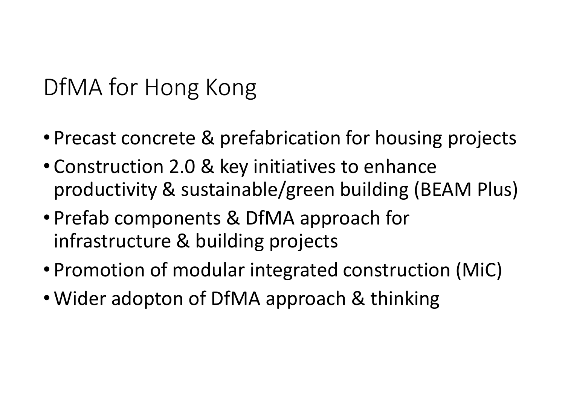DfMA for Hong Kong

- Precast concrete & prefabrication for housing projects
- Construction 2.0 & key initiatives to enhance productivity & sustainable/green building (BEAM Plus)
- Prefab components & DfMA approach for infrastructure & building projects
- Promotion of modular integrated construction (MiC)
- Wider adopton of DfMA approach & thinking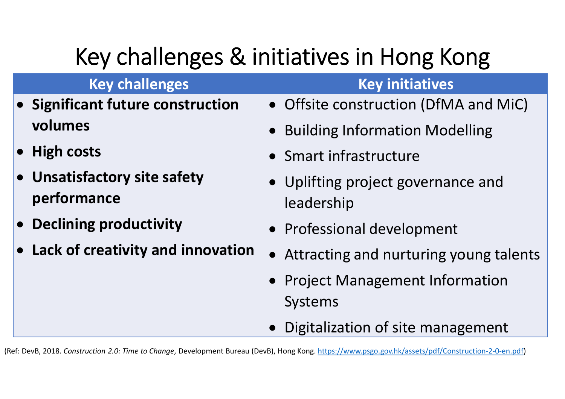# Key challenges & initiatives in Hong Kong

#### **Key challenges Key initiatives**

- **Significant future construction volumes**
- **High costs**
- **Unsatisfactory site safety performance**
- **Declining productivity**
- **Lack of creativity and innovation**
- Offsite construction (DfMA and MiC)
- Building Information Modelling
- Smart infrastructure
- Uplifting project governance and leadership
- Professional development
- Attracting and nurturing young talents
- Project Management Information Systems
- Digitalization of site management

(Ref: DevB, 2018. *Construction 2.0: Time to Change*, Development Bureau (DevB), Hong Kong. https://www.psgo.gov.hk/assets/pdf/Construction-2-0-en.pdf)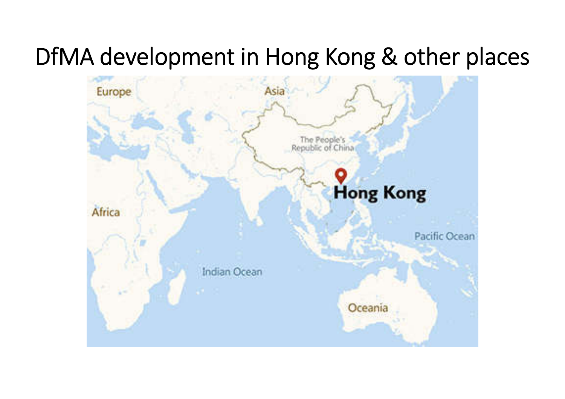## DfMA development in Hong Kong & other places

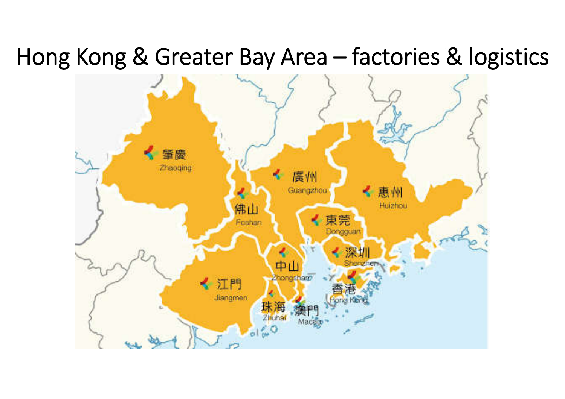#### Hong Kong & Greater Bay Area – factories & logistics